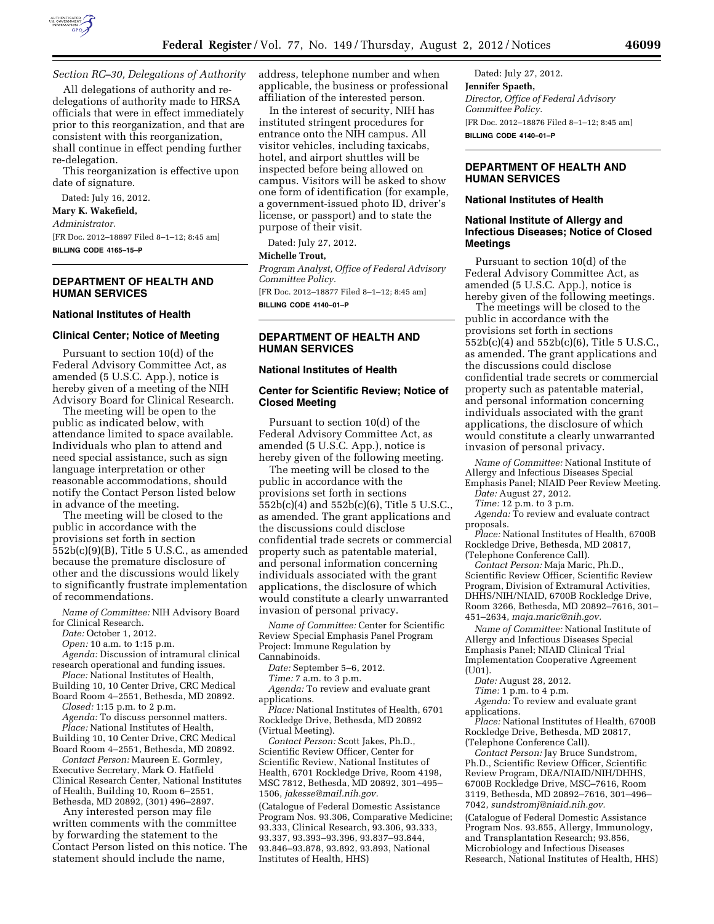

# *Section RC–30, Delegations of Authority*

All delegations of authority and redelegations of authority made to HRSA officials that were in effect immediately prior to this reorganization, and that are consistent with this reorganization, shall continue in effect pending further re-delegation.

This reorganization is effective upon date of signature.

Dated: July 16, 2012.

### **Mary K. Wakefield,**

*Administrator.* 

[FR Doc. 2012–18897 Filed 8–1–12; 8:45 am] **BILLING CODE 4165–15–P** 

# **DEPARTMENT OF HEALTH AND HUMAN SERVICES**

#### **National Institutes of Health**

### **Clinical Center; Notice of Meeting**

Pursuant to section 10(d) of the Federal Advisory Committee Act, as amended (5 U.S.C. App.), notice is hereby given of a meeting of the NIH Advisory Board for Clinical Research.

The meeting will be open to the public as indicated below, with attendance limited to space available. Individuals who plan to attend and need special assistance, such as sign language interpretation or other reasonable accommodations, should notify the Contact Person listed below in advance of the meeting.

The meeting will be closed to the public in accordance with the provisions set forth in section  $552b(c)(9)(B)$ , Title 5 U.S.C., as amended because the premature disclosure of other and the discussions would likely to significantly frustrate implementation of recommendations.

*Name of Committee:* NIH Advisory Board

for Clinical Research.

*Date:* October 1, 2012.

*Open:* 10 a.m. to 1:15 p.m.

*Agenda:* Discussion of intramural clinical research operational and funding issues.

*Place:* National Institutes of Health, Building 10, 10 Center Drive, CRC Medical

Board Room 4–2551, Bethesda, MD 20892. *Closed:* 1:15 p.m. to 2 p.m.

*Agenda:* To discuss personnel matters.

*Place:* National Institutes of Health, Building 10, 10 Center Drive, CRC Medical

Board Room 4–2551, Bethesda, MD 20892. *Contact Person:* Maureen E. Gormley, Executive Secretary, Mark O. Hatfield Clinical Research Center, National Institutes

of Health, Building 10, Room 6–2551, Bethesda, MD 20892, (301) 496–2897. Any interested person may file

written comments with the committee by forwarding the statement to the Contact Person listed on this notice. The statement should include the name,

address, telephone number and when applicable, the business or professional affiliation of the interested person.

In the interest of security, NIH has instituted stringent procedures for entrance onto the NIH campus. All visitor vehicles, including taxicabs, hotel, and airport shuttles will be inspected before being allowed on campus. Visitors will be asked to show one form of identification (for example, a government-issued photo ID, driver's license, or passport) and to state the purpose of their visit.

Dated: July 27, 2012.

### **Michelle Trout,**

*Program Analyst, Office of Federal Advisory Committee Policy.* 

[FR Doc. 2012–18877 Filed 8–1–12; 8:45 am] **BILLING CODE 4140–01–P** 

### **DEPARTMENT OF HEALTH AND HUMAN SERVICES**

#### **National Institutes of Health**

## **Center for Scientific Review; Notice of Closed Meeting**

Pursuant to section 10(d) of the Federal Advisory Committee Act, as amended (5 U.S.C. App.), notice is hereby given of the following meeting.

The meeting will be closed to the public in accordance with the provisions set forth in sections 552b(c)(4) and 552b(c)(6), Title 5 U.S.C., as amended. The grant applications and the discussions could disclose confidential trade secrets or commercial property such as patentable material, and personal information concerning individuals associated with the grant applications, the disclosure of which would constitute a clearly unwarranted invasion of personal privacy.

*Name of Committee:* Center for Scientific Review Special Emphasis Panel Program Project: Immune Regulation by Cannabinoids.

*Date:* September 5–6, 2012.

*Time:* 7 a.m. to 3 p.m. *Agenda:* To review and evaluate grant

applications.

*Place:* National Institutes of Health, 6701 Rockledge Drive, Bethesda, MD 20892 (Virtual Meeting).

*Contact Person:* Scott Jakes, Ph.D., Scientific Review Officer, Center for Scientific Review, National Institutes of Health, 6701 Rockledge Drive, Room 4198, MSC 7812, Bethesda, MD 20892, 301–495– 1506, *[jakesse@mail.nih.gov.](mailto:jakesse@mail.nih.gov)* 

(Catalogue of Federal Domestic Assistance Program Nos. 93.306, Comparative Medicine; 93.333, Clinical Research, 93.306, 93.333, 93.337, 93.393–93.396, 93.837–93.844, 93.846–93.878, 93.892, 93.893, National Institutes of Health, HHS)

Dated: July 27, 2012. **Jennifer Spaeth,**  *Director, Office of Federal Advisory Committee Policy.*  [FR Doc. 2012–18876 Filed 8–1–12; 8:45 am] **BILLING CODE 4140–01–P** 

# **DEPARTMENT OF HEALTH AND HUMAN SERVICES**

#### **National Institutes of Health**

## **National Institute of Allergy and Infectious Diseases; Notice of Closed Meetings**

Pursuant to section 10(d) of the Federal Advisory Committee Act, as amended (5 U.S.C. App.), notice is hereby given of the following meetings.

The meetings will be closed to the public in accordance with the provisions set forth in sections 552b(c)(4) and 552b(c)(6), Title 5 U.S.C., as amended. The grant applications and the discussions could disclose confidential trade secrets or commercial property such as patentable material, and personal information concerning individuals associated with the grant applications, the disclosure of which would constitute a clearly unwarranted invasion of personal privacy.

*Name of Committee:* National Institute of Allergy and Infectious Diseases Special Emphasis Panel; NIAID Peer Review Meeting.

*Date:* August 27, 2012.

*Time:* 12 p.m. to 3 p.m.

Agenda: To review and evaluate contract proposals.

*Place:* National Institutes of Health, 6700B Rockledge Drive, Bethesda, MD 20817, (Telephone Conference Call).

*Contact Person:* Maja Maric, Ph.D., Scientific Review Officer, Scientific Review Program, Division of Extramural Activities, DHHS/NIH/NIAID, 6700B Rockledge Drive, Room 3266, Bethesda, MD 20892–7616, 301– 451–2634, *[maja.maric@nih.gov.](mailto:maja.maric@nih.gov)* 

*Name of Committee:* National Institute of Allergy and Infectious Diseases Special Emphasis Panel; NIAID Clinical Trial Implementation Cooperative Agreement (U01).

*Date:* August 28, 2012.

*Time:* 1 p.m. to 4 p.m.

*Agenda:* To review and evaluate grant applications.

*Place:* National Institutes of Health, 6700B Rockledge Drive, Bethesda, MD 20817, (Telephone Conference Call).

*Contact Person:* Jay Bruce Sundstrom, Ph.D., Scientific Review Officer, Scientific Review Program, DEA/NIAID/NIH/DHHS, 6700B Rockledge Drive, MSC–7616, Room 3119, Bethesda, MD 20892–7616, 301–496– 7042, *[sundstromj@niaid.nih.gov.](mailto:sundstromj@niaid.nih.gov)* 

(Catalogue of Federal Domestic Assistance Program Nos. 93.855, Allergy, Immunology, and Transplantation Research; 93.856, Microbiology and Infectious Diseases Research, National Institutes of Health, HHS)